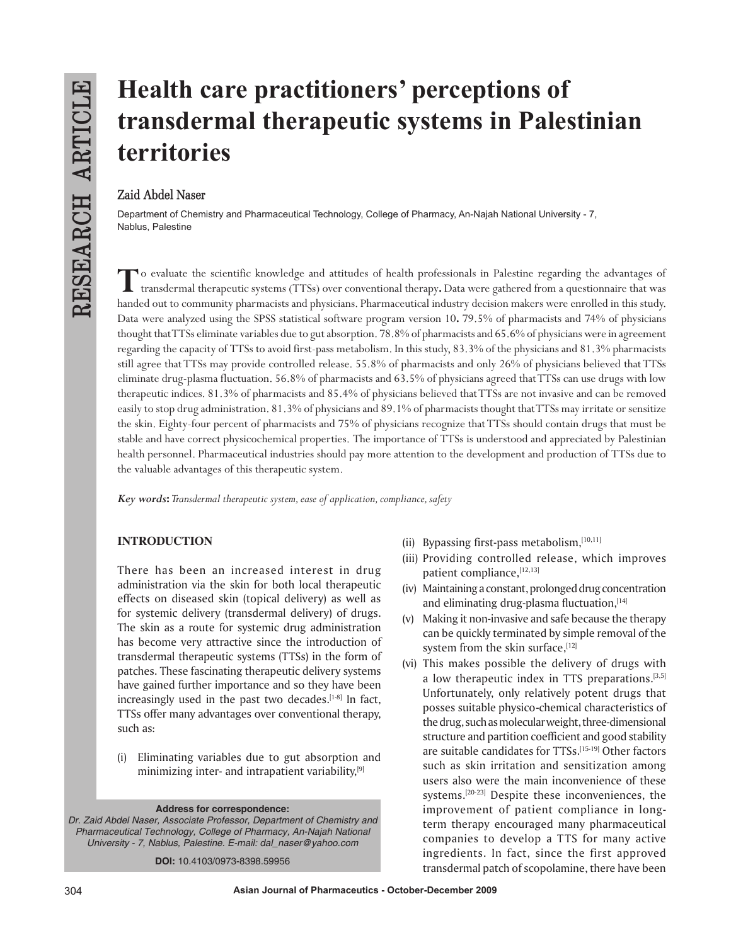# **Health care practitioners' perceptions of transdermal therapeutic systems in Palestinian territories**

## **Zaid Abdel Naser**

Department of Chemistry and Pharmaceutical Technology, College of Pharmacy, An-Najah National University - 7, Nablus, Palestine

**T**o evaluate the scientific knowledge and attitudes of health professionals in Palestine regarding the advantages of transdermal therapeutic systems (TTSs) over conventional therapy**.** Data were gathered from a questionnaire that was handed out to community pharmacists and physicians. Pharmaceutical industry decision makers were enrolled in this study. Data were analyzed using the SPSS statistical software program version 10**.** 79.5% of pharmacists and 74% of physicians thought that TTSs eliminate variables due to gut absorption. 78.8% of pharmacists and 65.6% of physicians were in agreement regarding the capacity of TTSs to avoid first-pass metabolism. In this study, 83.3% of the physicians and 81.3% pharmacists still agree that TTSs may provide controlled release. 55.8% of pharmacists and only 26% of physicians believed that TTSs eliminate drug-plasma fluctuation. 56.8% of pharmacists and 63.5% of physicians agreed that TTSs can use drugs with low therapeutic indices. 81.3% of pharmacists and 85.4% of physicians believed that TTSs are not invasive and can be removed easily to stop drug administration. 81.3% of physicians and 89.1% of pharmacists thought that TTSs may irritate or sensitize the skin. Eighty-four percent of pharmacists and 75% of physicians recognize that TTSs should contain drugs that must be stable and have correct physicochemical properties. The importance of TTSs is understood and appreciated by Palestinian health personnel. Pharmaceutical industries should pay more attention to the development and production of TTSs due to the valuable advantages of this therapeutic system.

*Key words***:** *Transdermal therapeutic system, ease of application, compliance, safety*

# **INTRODUCTION**

There has been an increased interest in drug administration via the skin for both local therapeutic effects on diseased skin (topical delivery) as well as for systemic delivery (transdermal delivery) of drugs. The skin as a route for systemic drug administration has become very attractive since the introduction of transdermal therapeutic systems (TTSs) in the form of patches. These fascinating therapeutic delivery systems have gained further importance and so they have been increasingly used in the past two decades. $[1-8]$  In fact, TTSs offer many advantages over conventional therapy, such as:

(i) Eliminating variables due to gut absorption and minimizing inter- and intrapatient variability,<sup>[9]</sup>

**Address for correspondence:**

*Dr. Zaid Abdel Naser, Associate Professor, Department of Chemistry and Pharmaceutical Technology, College of Pharmacy, An-Najah National University - 7, Nablus, Palestine. E-mail: dal\_naser@yahoo.com*

**DOI:** 10.4103/0973-8398.59956

- (ii) Bypassing first-pass metabolism, $[10,11]$
- (iii) Providing controlled release, which improves patient compliance, [12,13]
- (iv) Maintaining a constant, prolonged drug concentration and eliminating drug-plasma fluctuation, [14]
- (v) Making it non-invasive and safe because the therapy can be quickly terminated by simple removal of the system from the skin surface, [12]
- (vi) This makes possible the delivery of drugs with a low therapeutic index in TTS preparations.<sup>[3,5]</sup> Unfortunately, only relatively potent drugs that posses suitable physico-chemical characteristics of the drug, such as molecular weight, three-dimensional structure and partition coefficient and good stability are suitable candidates for TTSs.[15-19] Other factors such as skin irritation and sensitization among users also were the main inconvenience of these systems.[20-23] Despite these inconveniences, the improvement of patient compliance in longterm therapy encouraged many pharmaceutical companies to develop a TTS for many active ingredients. In fact, since the first approved transdermal patch of scopolamine, there have been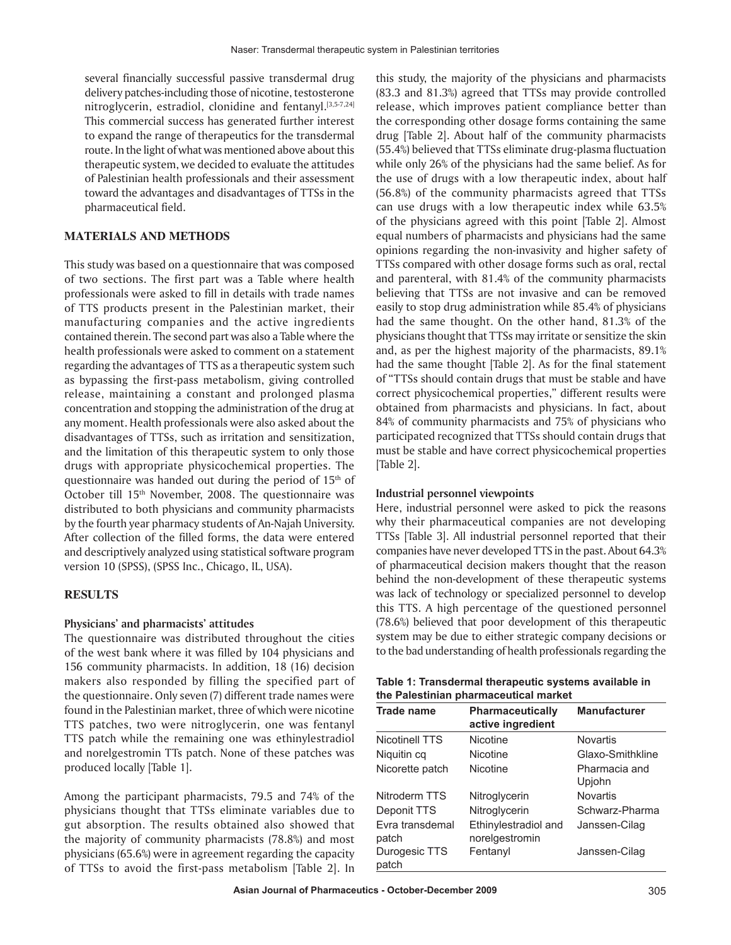several financially successful passive transdermal drug delivery patches-including those of nicotine, testosterone nitroglycerin, estradiol, clonidine and fentanyl.[3,5-7,24] This commercial success has generated further interest to expand the range of therapeutics for the transdermal route. In the light of what was mentioned above about this therapeutic system, we decided to evaluate the attitudes of Palestinian health professionals and their assessment toward the advantages and disadvantages of TTSs in the pharmaceutical field.

#### **MATERIALS AND METHODS**

This study was based on a questionnaire that was composed of two sections. The first part was a Table where health professionals were asked to fill in details with trade names of TTS products present in the Palestinian market, their manufacturing companies and the active ingredients contained therein. The second part was also a Table where the health professionals were asked to comment on a statement regarding the advantages of TTS as a therapeutic system such as bypassing the first-pass metabolism, giving controlled release, maintaining a constant and prolonged plasma concentration and stopping the administration of the drug at any moment. Health professionals were also asked about the disadvantages of TTSs, such as irritation and sensitization, and the limitation of this therapeutic system to only those drugs with appropriate physicochemical properties. The questionnaire was handed out during the period of 15<sup>th</sup> of October till 15<sup>th</sup> November, 2008. The questionnaire was distributed to both physicians and community pharmacists by the fourth year pharmacy students of An-Najah University. After collection of the filled forms, the data were entered and descriptively analyzed using statistical software program version 10 (SPSS), (SPSS Inc., Chicago, IL, USA).

#### **RESULTS**

#### **Physicians' and pharmacists' attitudes**

The questionnaire was distributed throughout the cities of the west bank where it was filled by 104 physicians and 156 community pharmacists. In addition, 18 (16) decision makers also responded by filling the specified part of the questionnaire. Only seven (7) different trade names were found in the Palestinian market, three of which were nicotine TTS patches, two were nitroglycerin, one was fentanyl TTS patch while the remaining one was ethinylestradiol and norelgestromin TTs patch. None of these patches was produced locally [Table 1].

Among the participant pharmacists, 79.5 and 74% of the physicians thought that TTSs eliminate variables due to gut absorption. The results obtained also showed that the majority of community pharmacists (78.8%) and most physicians (65.6%) were in agreement regarding the capacity of TTSs to avoid the first-pass metabolism [Table 2]. In this study, the majority of the physicians and pharmacists (83.3 and 81.3%) agreed that TTSs may provide controlled release, which improves patient compliance better than the corresponding other dosage forms containing the same drug [Table 2]. About half of the community pharmacists (55.4%) believed that TTSs eliminate drug-plasma fluctuation while only 26% of the physicians had the same belief. As for the use of drugs with a low therapeutic index, about half (56.8%) of the community pharmacists agreed that TTSs can use drugs with a low therapeutic index while 63.5% of the physicians agreed with this point [Table 2]. Almost equal numbers of pharmacists and physicians had the same opinions regarding the non-invasivity and higher safety of TTSs compared with other dosage forms such as oral, rectal and parenteral, with 81.4% of the community pharmacists believing that TTSs are not invasive and can be removed easily to stop drug administration while 85.4% of physicians had the same thought. On the other hand, 81.3% of the physicians thought that TTSs may irritate or sensitize the skin and, as per the highest majority of the pharmacists, 89.1% had the same thought [Table 2]. As for the final statement of "TTSs should contain drugs that must be stable and have correct physicochemical properties," different results were obtained from pharmacists and physicians. In fact, about 84% of community pharmacists and 75% of physicians who participated recognized that TTSs should contain drugs that must be stable and have correct physicochemical properties [Table 2].

#### **Industrial personnel viewpoints**

Here, industrial personnel were asked to pick the reasons why their pharmaceutical companies are not developing TTSs [Table 3]. All industrial personnel reported that their companies have never developed TTS in the past. About 64.3% of pharmaceutical decision makers thought that the reason behind the non-development of these therapeutic systems was lack of technology or specialized personnel to develop this TTS. A high percentage of the questioned personnel (78.6%) believed that poor development of this therapeutic system may be due to either strategic company decisions or to the bad understanding of health professionals regarding the

| Table 1: Transdermal therapeutic systems available in |  |
|-------------------------------------------------------|--|
| the Palestinian pharmaceutical market                 |  |

| <b>Trade name</b>        | <b>Pharmaceutically</b><br>active ingredient | <b>Manufacturer</b>     |  |  |  |  |  |
|--------------------------|----------------------------------------------|-------------------------|--|--|--|--|--|
| <b>Nicotinell TTS</b>    | Nicotine                                     | Novartis                |  |  |  |  |  |
| Niguitin cg              | Nicotine                                     | Glaxo-Smithkline        |  |  |  |  |  |
| Nicorette patch          | <b>Nicotine</b>                              | Pharmacia and<br>Upjohn |  |  |  |  |  |
| Nitroderm TTS            | Nitroglycerin                                | <b>Novartis</b>         |  |  |  |  |  |
| Deponit TTS              | Nitroglycerin                                | Schwarz-Pharma          |  |  |  |  |  |
| Evra transdemal<br>patch | Ethinylestradiol and<br>norelgestromin       | Janssen-Cilag           |  |  |  |  |  |
| Durogesic TTS<br>patch   | Fentanyl                                     | Janssen-Cilag           |  |  |  |  |  |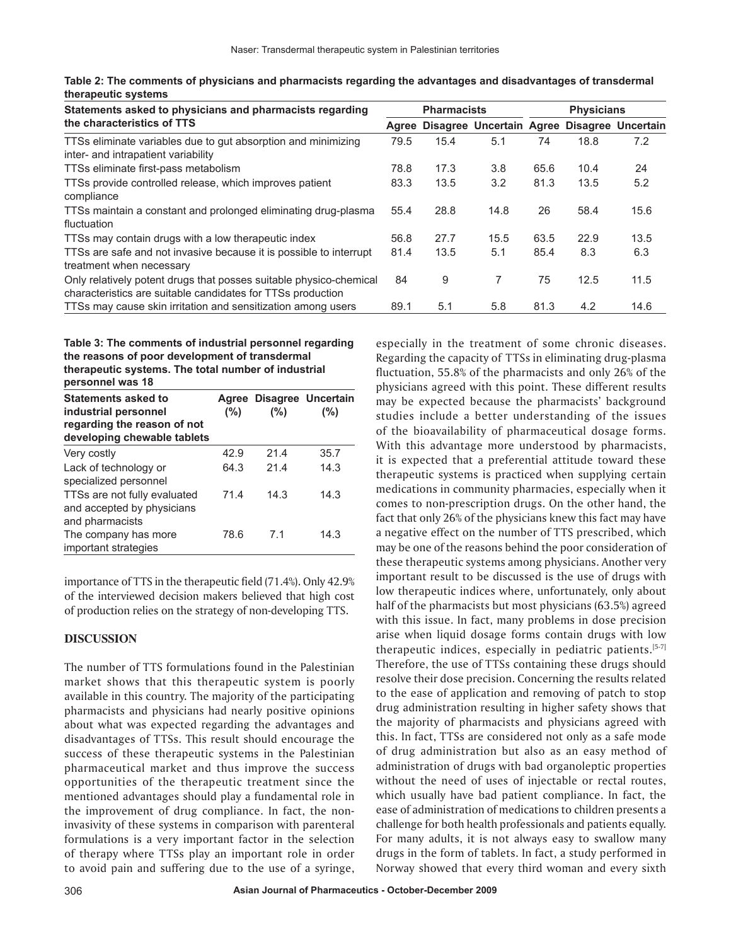| Statements asked to physicians and pharmacists regarding<br>the characteristics of TTS                                            |      | <b>Pharmacists</b> |                                                   |      | <b>Physicians</b> |      |  |
|-----------------------------------------------------------------------------------------------------------------------------------|------|--------------------|---------------------------------------------------|------|-------------------|------|--|
|                                                                                                                                   |      |                    | Agree Disagree Uncertain Agree Disagree Uncertain |      |                   |      |  |
| TTSs eliminate variables due to gut absorption and minimizing<br>inter- and intrapatient variability                              | 79.5 | 15.4               | 5.1                                               | 74   | 18.8              | 7.2  |  |
| TTSs eliminate first-pass metabolism                                                                                              | 78.8 | 17.3               | 3.8                                               | 65.6 | 10.4              | 24   |  |
| TTSs provide controlled release, which improves patient<br>compliance                                                             | 83.3 | 13.5               | 3.2                                               | 81.3 | 13.5              | 5.2  |  |
| TTSs maintain a constant and prolonged eliminating drug-plasma<br>fluctuation                                                     | 55.4 | 28.8               | 14.8                                              | 26   | 58.4              | 15.6 |  |
| TTSs may contain drugs with a low therapeutic index                                                                               | 56.8 | 27.7               | 15.5                                              | 63.5 | 22.9              | 13.5 |  |
| TTSs are safe and not invasive because it is possible to interrupt<br>treatment when necessary                                    | 81.4 | 13.5               | 5.1                                               | 85.4 | 8.3               | 6.3  |  |
| Only relatively potent drugs that posses suitable physico-chemical<br>characteristics are suitable candidates for TTSs production | 84   | 9                  | 7                                                 | 75   | 12.5              | 11.5 |  |
| TTSs may cause skin irritation and sensitization among users                                                                      | 89.1 | 5.1                | 5.8                                               | 81.3 | 4.2               | 14.6 |  |

|                     | Table 2: The comments of physicians and pharmacists regarding the advantages and disadvantages of transdermal |
|---------------------|---------------------------------------------------------------------------------------------------------------|
| therapeutic systems |                                                                                                               |

**Table 3: The comments of industrial personnel regarding the reasons of poor development of transdermal therapeutic systems. The total number of industrial personnel was 18**

| <b>Statements asked to</b><br>industrial personnel<br>regarding the reason of not | (%)  | $(\% )$ | Agree Disagree Uncertain<br>$(\% )$ |
|-----------------------------------------------------------------------------------|------|---------|-------------------------------------|
| developing chewable tablets                                                       |      |         |                                     |
| Very costly                                                                       | 42.9 | 21.4    | 35.7                                |
| Lack of technology or<br>specialized personnel                                    | 64.3 | 21.4    | 14.3                                |
| TTSs are not fully evaluated<br>and accepted by physicians<br>and pharmacists     | 71.4 | 14.3    | 14.3                                |
| The company has more<br>important strategies                                      | 78.6 | 7.1     | 14.3                                |

importance of TTS in the therapeutic field (71.4%). Only 42.9% of the interviewed decision makers believed that high cost of production relies on the strategy of non-developing TTS.

### **DISCUSSION**

The number of TTS formulations found in the Palestinian market shows that this therapeutic system is poorly available in this country. The majority of the participating pharmacists and physicians had nearly positive opinions about what was expected regarding the advantages and disadvantages of TTSs. This result should encourage the success of these therapeutic systems in the Palestinian pharmaceutical market and thus improve the success opportunities of the therapeutic treatment since the mentioned advantages should play a fundamental role in the improvement of drug compliance. In fact, the noninvasivity of these systems in comparison with parenteral formulations is a very important factor in the selection of therapy where TTSs play an important role in order to avoid pain and suffering due to the use of a syringe,

especially in the treatment of some chronic diseases. Regarding the capacity of TTSs in eliminating drug-plasma fluctuation, 55.8% of the pharmacists and only 26% of the physicians agreed with this point. These different results may be expected because the pharmacists' background studies include a better understanding of the issues of the bioavailability of pharmaceutical dosage forms. With this advantage more understood by pharmacists, it is expected that a preferential attitude toward these therapeutic systems is practiced when supplying certain medications in community pharmacies, especially when it comes to non-prescription drugs. On the other hand, the fact that only 26% of the physicians knew this fact may have a negative effect on the number of TTS prescribed, which may be one of the reasons behind the poor consideration of these therapeutic systems among physicians. Another very important result to be discussed is the use of drugs with low therapeutic indices where, unfortunately, only about half of the pharmacists but most physicians (63.5%) agreed with this issue. In fact, many problems in dose precision arise when liquid dosage forms contain drugs with low therapeutic indices, especially in pediatric patients.[5-7] Therefore, the use of TTSs containing these drugs should resolve their dose precision. Concerning the results related to the ease of application and removing of patch to stop drug administration resulting in higher safety shows that the majority of pharmacists and physicians agreed with this. In fact, TTSs are considered not only as a safe mode of drug administration but also as an easy method of administration of drugs with bad organoleptic properties without the need of uses of injectable or rectal routes, which usually have bad patient compliance. In fact, the ease of administration of medications to children presents a challenge for both health professionals and patients equally. For many adults, it is not always easy to swallow many drugs in the form of tablets. In fact, a study performed in Norway showed that every third woman and every sixth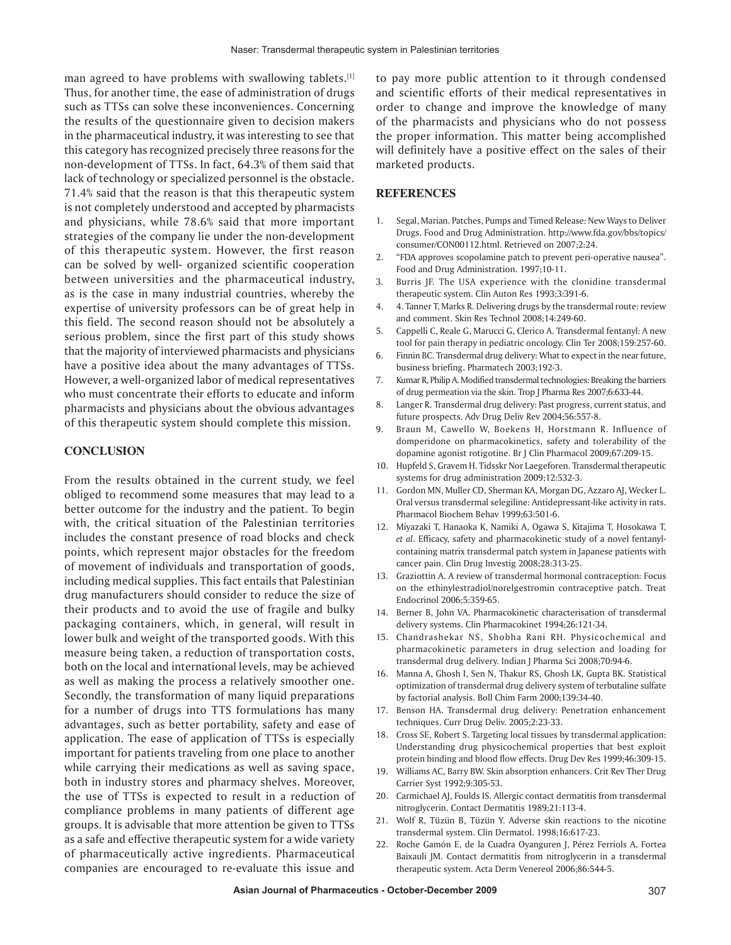man agreed to have problems with swallowing tablets.[1] Thus, for another time, the ease of administration of drugs such as TTSs can solve these inconveniences. Concerning the results of the questionnaire given to decision makers in the pharmaceutical industry, it was interesting to see that this category has recognized precisely three reasons for the non-development of TTSs. In fact, 64.3% of them said that lack of technology or specialized personnel is the obstacle. 71.4% said that the reason is that this therapeutic system is not completely understood and accepted by pharmacists and physicians, while 78.6% said that more important strategies of the company lie under the non-development of this therapeutic system. However, the first reason can be solved by well- organized scientific cooperation between universities and the pharmaceutical industry, as is the case in many industrial countries, whereby the expertise of university professors can be of great help in this field. The second reason should not be absolutely a serious problem, since the first part of this study shows that the majority of interviewed pharmacists and physicians have a positive idea about the many advantages of TTSs. However, a well-organized labor of medical representatives who must concentrate their efforts to educate and inform pharmacists and physicians about the obvious advantages of this therapeutic system should complete this mission.

#### **CONCLUSION**

From the results obtained in the current study, we feel obliged to recommend some measures that may lead to a better outcome for the industry and the patient. To begin with, the critical situation of the Palestinian territories includes the constant presence of road blocks and check points, which represent major obstacles for the freedom of movement of individuals and transportation of goods, including medical supplies. This fact entails that Palestinian drug manufacturers should consider to reduce the size of their products and to avoid the use of fragile and bulky packaging containers, which, in general, will result in lower bulk and weight of the transported goods. With this measure being taken, a reduction of transportation costs, both on the local and international levels, may be achieved as well as making the process a relatively smoother one. Secondly, the transformation of many liquid preparations for a number of drugs into TTS formulations has many advantages, such as better portability, safety and ease of application. The ease of application of TTSs is especially important for patients traveling from one place to another while carrying their medications as well as saving space, both in industry stores and pharmacy shelves. Moreover, the use of TTSs is expected to result in a reduction of compliance problems in many patients of different age groups. It is advisable that more attention be given to TTSs as a safe and effective therapeutic system for a wide variety of pharmaceutically active ingredients. Pharmaceutical companies are encouraged to re-evaluate this issue and

to pay more public attention to it through condensed and scientific efforts of their medical representatives in order to change and improve the knowledge of many of the pharmacists and physicians who do not possess the proper information. This matter being accomplished will definitely have a positive effect on the sales of their marketed products.

## **REFERENCES**

- 1. Segal, Marian. Patches, Pumps and Timed Release: New Ways to Deliver Drugs. Food and Drug Administration. http://www.fda.gov/bbs/topics/ consumer/CON00112.html. Retrieved on 2007;2:24.
- 2. "FDA approves scopolamine patch to prevent peri-operative nausea". Food and Drug Administration. 1997;10-11.
- 3. Burris JF. The USA experience with the clonidine transdermal therapeutic system. Clin Auton Res 1993;3:391-6.
- 4. 4. Tanner T, Marks R. Delivering drugs by the transdermal route: review and comment. Skin Res Technol 2008;14:249-60.
- 5. Cappelli C, Reale G, Marucci G, Clerico A. Transdermal fentanyl: A new tool for pain therapy in pediatric oncology. Clin Ter 2008;159:257-60.
- 6. Finnin BC. Transdermal drug delivery: What to expect in the near future, business briefing. Pharmatech 2003;192-3.
- 7. Kumar R, Philip A. Modified transdermal technologies: Breaking the barriers of drug permeation via the skin. Trop J Pharma Res 2007;6:633-44.
- 8. Langer R. Transdermal drug delivery: Past progress, current status, and future prospects. Adv Drug Deliv Rev 2004;56:557-8.
- 9. Braun M, Cawello W, Boekens H, Horstmann R. Influence of domperidone on pharmacokinetics, safety and tolerability of the dopamine agonist rotigotine. Br J Clin Pharmacol 2009;67:209-15.
- 10. Hupfeld S, Gravem H. Tidsskr Nor Laegeforen. Transdermal therapeutic systems for drug administration 2009;12:532-3.
- 11. Gordon MN, Muller CD, Sherman KA, Morgan DG, Azzaro AJ, Wecker L. Oral versus transdermal selegiline: Antidepressant-like activity in rats. Pharmacol Biochem Behav 1999;63:501-6.
- 12. Miyazaki T, Hanaoka K, Namiki A, Ogawa S, Kitajima T, Hosokawa T, *et al*. Efficacy, safety and pharmacokinetic study of a novel fentanylcontaining matrix transdermal patch system in Japanese patients with cancer pain. Clin Drug Investig 2008;28:313-25.
- 13. Graziottin A. A review of transdermal hormonal contraception: Focus on the ethinylestradiol/norelgestromin contraceptive patch. Treat Endocrinol 2006;5:359-65.
- 14. Berner B, John VA. Pharmacokinetic characterisation of transdermal delivery systems. Clin Pharmacokinet 1994;26:121-34.
- 15. Chandrashekar NS, Shobha Rani RH. Physicochemical and pharmacokinetic parameters in drug selection and loading for transdermal drug delivery. Indian J Pharma Sci 2008;70:94-6.
- 16. Manna A, Ghosh I, Sen N, Thakur RS, Ghosh LK, Gupta BK. Statistical optimization of transdermal drug delivery system of terbutaline sulfate by factorial analysis. Boll Chim Farm 2000;139:34-40.
- 17. Benson HA. Transdermal drug delivery: Penetration enhancement techniques. Curr Drug Deliv. 2005;2:23-33.
- 18. Cross SE, Robert S. Targeting local tissues by transdermal application: Understanding drug physicochemical properties that best exploit protein binding and blood flow effects. Drug Dev Res 1999;46:309-15.
- 19. Williams AC, Barry BW. Skin absorption enhancers. Crit Rev Ther Drug Carrier Syst 1992;9:305-53.
- 20. Carmichael AJ, Foulds IS. Allergic contact dermatitis from transdermal nitroglycerin. Contact Dermatitis 1989;21:113-4.
- 21. Wolf R, Tüzün B, Tüzün Y. Adverse skin reactions to the nicotine transdermal system. Clin Dermatol. 1998;16:617-23.
- 22. Roche Gamón E, de la Cuadra Oyanguren J, Pérez Ferriols A, Fortea Baixauli JM. Contact dermatitis from nitroglycerin in a transdermal therapeutic system. Acta Derm Venereol 2006;86:544-5.